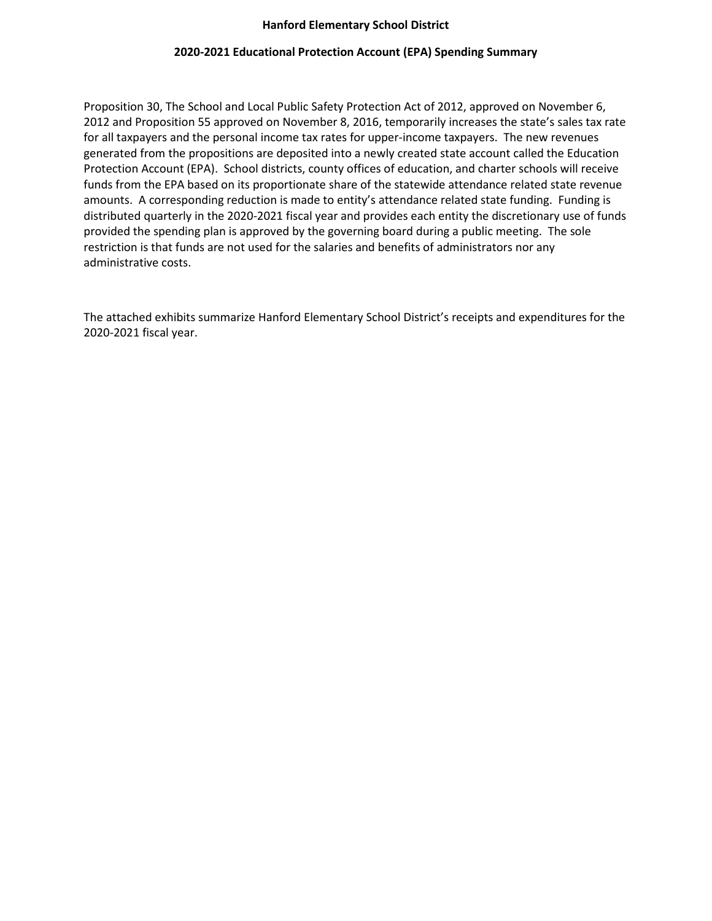## **Hanford Elementary School District**

## **2020-2021 Educational Protection Account (EPA) Spending Summary**

Proposition 30, The School and Local Public Safety Protection Act of 2012, approved on November 6, 2012 and Proposition 55 approved on November 8, 2016, temporarily increases the state's sales tax rate for all taxpayers and the personal income tax rates for upper-income taxpayers. The new revenues generated from the propositions are deposited into a newly created state account called the Education Protection Account (EPA). School districts, county offices of education, and charter schools will receive funds from the EPA based on its proportionate share of the statewide attendance related state revenue amounts. A corresponding reduction is made to entity's attendance related state funding. Funding is distributed quarterly in the 2020-2021 fiscal year and provides each entity the discretionary use of funds provided the spending plan is approved by the governing board during a public meeting. The sole restriction is that funds are not used for the salaries and benefits of administrators nor any administrative costs.

The attached exhibits summarize Hanford Elementary School District's receipts and expenditures for the 2020-2021 fiscal year.